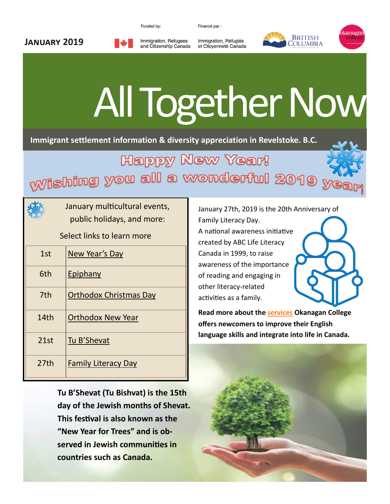## Funded by:

Immigration, Refugees

and Citizenship Canada

Financé par :

Immigration, Réfugiés

et Citoyenneté Canada



## All Together Now

**Immigrant settlement information & diversity appreciation in Revelstoke. B.C.**

Happy New Year!

**wishing you all a wonderful 2019** 



**January 2019**

January multicultural events, public holidays, and more:

Select links to learn more

| 1st  | New Year's Day                |
|------|-------------------------------|
| 6th  | Epiphany                      |
| 7th  | <b>Orthodox Christmas Day</b> |
| 14th | <b>Orthodox New Year</b>      |
| 21st | Tu B'Shevat                   |
| 27th | <b>Family Literacy Day</b>    |

**Tu B'Shevat (Tu Bishvat) is the 15th day of the Jewish months of Shevat. This festival is also known as the "New Year for Trees" and is observed in Jewish communities in countries such as Canada.** 

January 27th, 2019 is the 20th Anniversary of

Family Literacy Day. A national awareness initiative created by ABC Life Literacy Canada in 1999, to raise awareness of the importance of reading and engaging in other literacy-related activities as a family.

**Read more about the [services](https://www.okanagan.bc.ca/Campus_and_Community/Our_Campuses/Salmon_Arm_-_Revelstoke/Centres/Revelstoke_Centre/Revelstoke_Programs_and_Courses/English_as_a_Second_Language_Settlement_Assistance_Program.html) Okanagan College offers newcomers to improve their English language skills and integrate into life in Canada.**